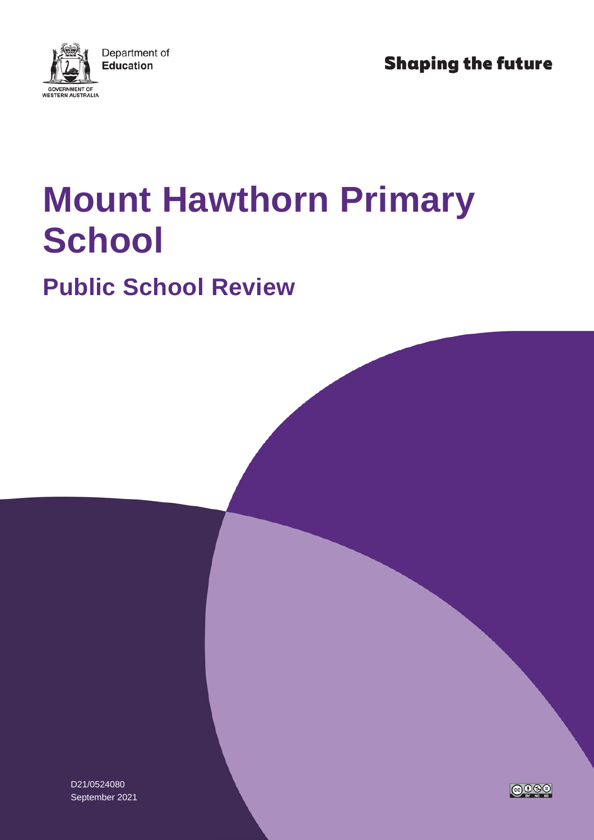

**Shaping the future** 

# **Mount Hawthorn Primary School**

## **Public School Review**

D21/0524080 September 2021

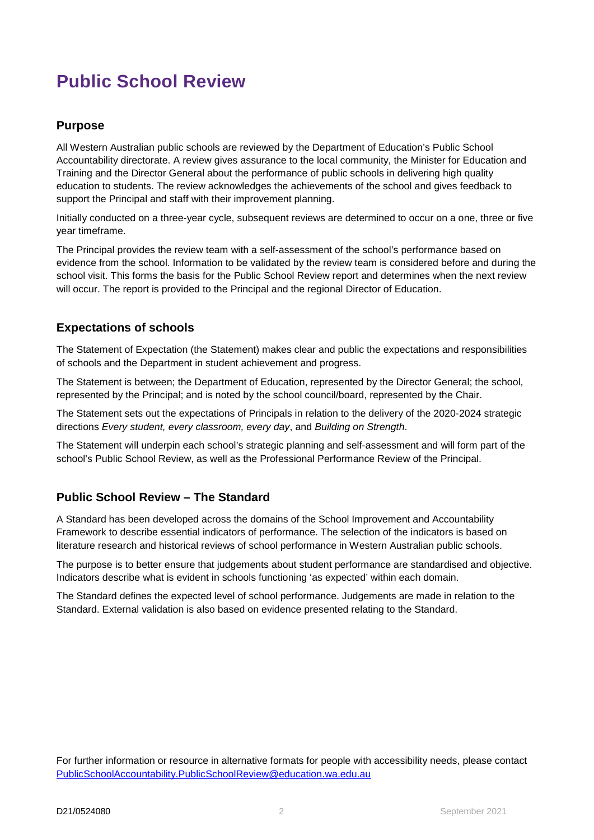### **Public School Review**

#### **Purpose**

All Western Australian public schools are reviewed by the Department of Education's Public School Accountability directorate. A review gives assurance to the local community, the Minister for Education and Training and the Director General about the performance of public schools in delivering high quality education to students. The review acknowledges the achievements of the school and gives feedback to support the Principal and staff with their improvement planning.

Initially conducted on a three-year cycle, subsequent reviews are determined to occur on a one, three or five year timeframe.

The Principal provides the review team with a self-assessment of the school's performance based on evidence from the school. Information to be validated by the review team is considered before and during the school visit. This forms the basis for the Public School Review report and determines when the next review will occur. The report is provided to the Principal and the regional Director of Education.

#### **Expectations of schools**

The Statement of Expectation (the Statement) makes clear and public the expectations and responsibilities of schools and the Department in student achievement and progress.

The Statement is between; the Department of Education, represented by the Director General; the school, represented by the Principal; and is noted by the school council/board, represented by the Chair.

The Statement sets out the expectations of Principals in relation to the delivery of the 2020-2024 strategic directions *Every student, every classroom, every day*, and *Building on Strength*.

The Statement will underpin each school's strategic planning and self-assessment and will form part of the school's Public School Review, as well as the Professional Performance Review of the Principal.

#### **Public School Review – The Standard**

A Standard has been developed across the domains of the School Improvement and Accountability Framework to describe essential indicators of performance. The selection of the indicators is based on literature research and historical reviews of school performance in Western Australian public schools.

The purpose is to better ensure that judgements about student performance are standardised and objective. Indicators describe what is evident in schools functioning 'as expected' within each domain.

The Standard defines the expected level of school performance. Judgements are made in relation to the Standard. External validation is also based on evidence presented relating to the Standard.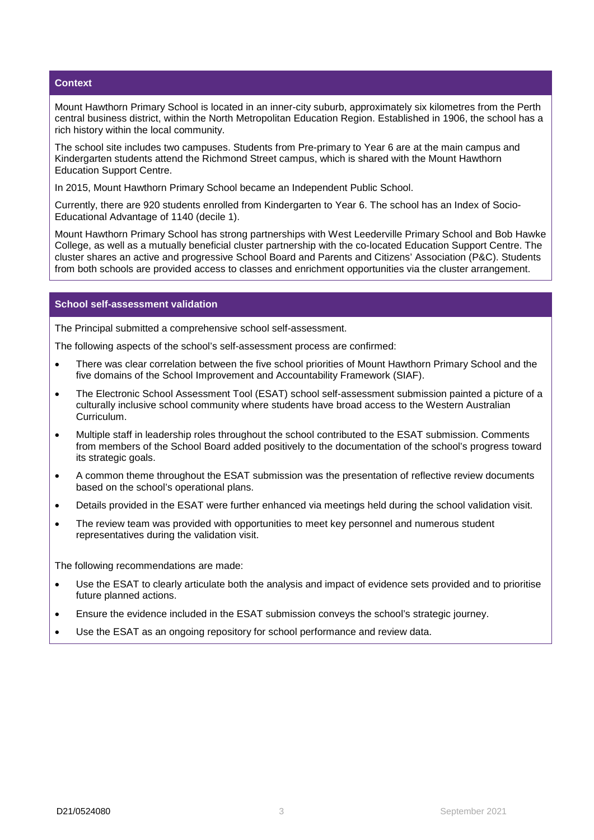#### **Context**

Mount Hawthorn Primary School is located in an inner-city suburb, approximately six kilometres from the Perth central business district, within the North Metropolitan Education Region. Established in 1906, the school has a rich history within the local community.

The school site includes two campuses. Students from Pre-primary to Year 6 are at the main campus and Kindergarten students attend the Richmond Street campus, which is shared with the Mount Hawthorn Education Support Centre.

In 2015, Mount Hawthorn Primary School became an Independent Public School.

Currently, there are 920 students enrolled from Kindergarten to Year 6. The school has an Index of Socio-Educational Advantage of 1140 (decile 1).

Mount Hawthorn Primary School has strong partnerships with West Leederville Primary School and Bob Hawke College, as well as a mutually beneficial cluster partnership with the co-located Education Support Centre. The cluster shares an active and progressive School Board and Parents and Citizens' Association (P&C). Students from both schools are provided access to classes and enrichment opportunities via the cluster arrangement.

#### **School self-assessment validation**

The Principal submitted a comprehensive school self-assessment.

The following aspects of the school's self-assessment process are confirmed:

- There was clear correlation between the five school priorities of Mount Hawthorn Primary School and the five domains of the School Improvement and Accountability Framework (SIAF).
- The Electronic School Assessment Tool (ESAT) school self-assessment submission painted a picture of a culturally inclusive school community where students have broad access to the Western Australian Curriculum.
- Multiple staff in leadership roles throughout the school contributed to the ESAT submission. Comments from members of the School Board added positively to the documentation of the school's progress toward its strategic goals.
- A common theme throughout the ESAT submission was the presentation of reflective review documents based on the school's operational plans.
- Details provided in the ESAT were further enhanced via meetings held during the school validation visit.
- The review team was provided with opportunities to meet key personnel and numerous student representatives during the validation visit.

The following recommendations are made:

- Use the ESAT to clearly articulate both the analysis and impact of evidence sets provided and to prioritise future planned actions.
- Ensure the evidence included in the ESAT submission conveys the school's strategic journey.
- Use the ESAT as an ongoing repository for school performance and review data.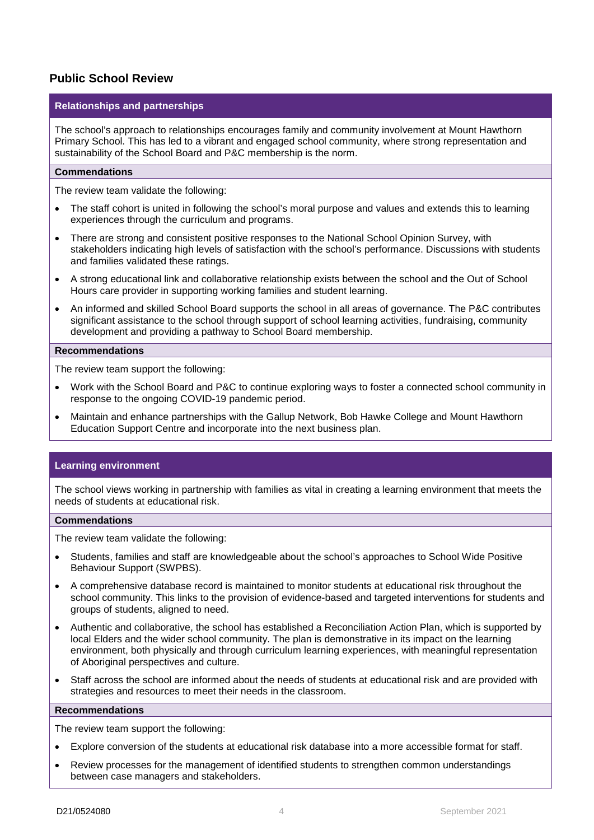#### **Public School Review**

#### **Relationships and partnerships**

The school's approach to relationships encourages family and community involvement at Mount Hawthorn Primary School. This has led to a vibrant and engaged school community, where strong representation and sustainability of the School Board and P&C membership is the norm.

#### **Commendations**

The review team validate the following:

- The staff cohort is united in following the school's moral purpose and values and extends this to learning experiences through the curriculum and programs.
- There are strong and consistent positive responses to the National School Opinion Survey, with stakeholders indicating high levels of satisfaction with the school's performance. Discussions with students and families validated these ratings.
- A strong educational link and collaborative relationship exists between the school and the Out of School Hours care provider in supporting working families and student learning.
- An informed and skilled School Board supports the school in all areas of governance. The P&C contributes significant assistance to the school through support of school learning activities, fundraising, community development and providing a pathway to School Board membership.

#### **Recommendations**

The review team support the following:

- Work with the School Board and P&C to continue exploring ways to foster a connected school community in response to the ongoing COVID-19 pandemic period.
- Maintain and enhance partnerships with the Gallup Network, Bob Hawke College and Mount Hawthorn Education Support Centre and incorporate into the next business plan.

#### **Learning environment**

The school views working in partnership with families as vital in creating a learning environment that meets the needs of students at educational risk.

#### **Commendations**

The review team validate the following:

- Students, families and staff are knowledgeable about the school's approaches to School Wide Positive Behaviour Support (SWPBS).
- A comprehensive database record is maintained to monitor students at educational risk throughout the school community. This links to the provision of evidence-based and targeted interventions for students and groups of students, aligned to need.
- Authentic and collaborative, the school has established a Reconciliation Action Plan, which is supported by local Elders and the wider school community. The plan is demonstrative in its impact on the learning environment, both physically and through curriculum learning experiences, with meaningful representation of Aboriginal perspectives and culture.
- Staff across the school are informed about the needs of students at educational risk and are provided with strategies and resources to meet their needs in the classroom.

#### **Recommendations**

The review team support the following:

- Explore conversion of the students at educational risk database into a more accessible format for staff.
- Review processes for the management of identified students to strengthen common understandings between case managers and stakeholders.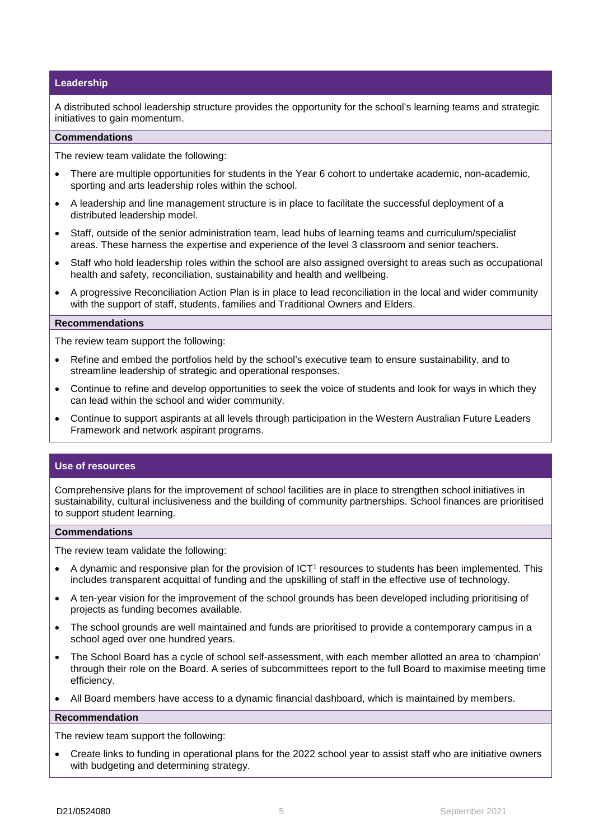#### **Leadership**

A distributed school leadership structure provides the opportunity for the school's learning teams and strategic initiatives to gain momentum.

#### **Commendations**

The review team validate the following:

- There are multiple opportunities for students in the Year 6 cohort to undertake academic, non-academic, sporting and arts leadership roles within the school.
- A leadership and line management structure is in place to facilitate the successful deployment of a distributed leadership model.
- Staff, outside of the senior administration team, lead hubs of learning teams and curriculum/specialist areas. These harness the expertise and experience of the level 3 classroom and senior teachers.
- Staff who hold leadership roles within the school are also assigned oversight to areas such as occupational health and safety, reconciliation, sustainability and health and wellbeing.
- A progressive Reconciliation Action Plan is in place to lead reconciliation in the local and wider community with the support of staff, students, families and Traditional Owners and Elders.

#### **Recommendations**

The review team support the following:

- Refine and embed the portfolios held by the school's executive team to ensure sustainability, and to streamline leadership of strategic and operational responses.
- Continue to refine and develop opportunities to seek the voice of students and look for ways in which they can lead within the school and wider community.
- Continue to support aspirants at all levels through participation in the Western Australian Future Leaders Framework and network aspirant programs.

#### **Use of resources**

Comprehensive plans for the improvement of school facilities are in place to strengthen school initiatives in sustainability, cultural inclusiveness and the building of community partnerships. School finances are prioritised to support student learning.

#### **Commendations**

The review team validate the following:

- A dynamic and responsive plan for the provision of ICT<sup>1</sup> resources to students has been implemented. This includes transparent acquittal of funding and the upskilling of staff in the effective use of technology.
- A ten-year vision for the improvement of the school grounds has been developed including prioritising of projects as funding becomes available.
- The school grounds are well maintained and funds are prioritised to provide a contemporary campus in a school aged over one hundred years.
- The School Board has a cycle of school self-assessment, with each member allotted an area to 'champion' through their role on the Board. A series of subcommittees report to the full Board to maximise meeting time efficiency.
- All Board members have access to a dynamic financial dashboard, which is maintained by members.

#### **Recommendation**

The review team support the following:

• Create links to funding in operational plans for the 2022 school year to assist staff who are initiative owners with budgeting and determining strategy.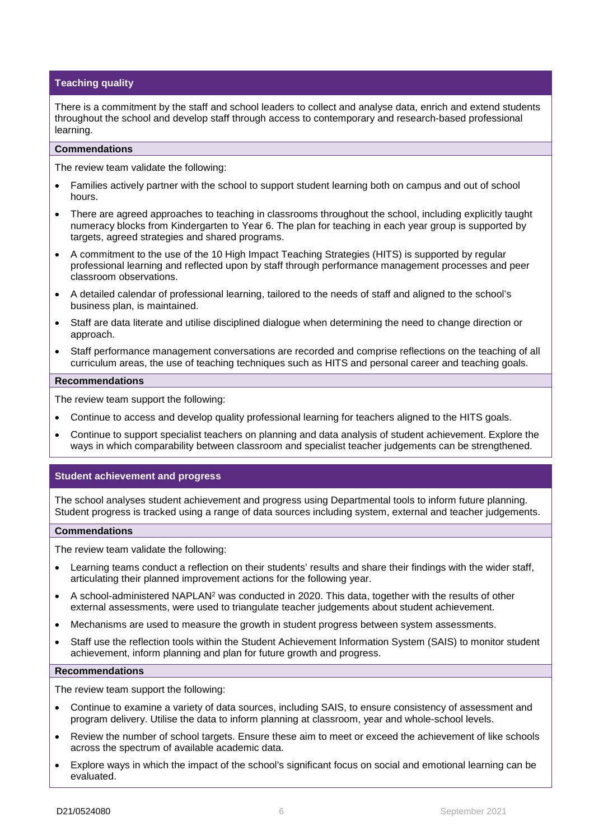#### **Teaching quality**

There is a commitment by the staff and school leaders to collect and analyse data, enrich and extend students throughout the school and develop staff through access to contemporary and research-based professional learning.

#### **Commendations**

The review team validate the following:

- Families actively partner with the school to support student learning both on campus and out of school hours.
- There are agreed approaches to teaching in classrooms throughout the school, including explicitly taught numeracy blocks from Kindergarten to Year 6. The plan for teaching in each year group is supported by targets, agreed strategies and shared programs.
- A commitment to the use of the 10 High Impact Teaching Strategies (HITS) is supported by regular professional learning and reflected upon by staff through performance management processes and peer classroom observations.
- A detailed calendar of professional learning, tailored to the needs of staff and aligned to the school's business plan, is maintained.
- Staff are data literate and utilise disciplined dialogue when determining the need to change direction or approach.
- Staff performance management conversations are recorded and comprise reflections on the teaching of all curriculum areas, the use of teaching techniques such as HITS and personal career and teaching goals.

#### **Recommendations**

The review team support the following:

- Continue to access and develop quality professional learning for teachers aligned to the HITS goals.
- Continue to support specialist teachers on planning and data analysis of student achievement. Explore the ways in which comparability between classroom and specialist teacher judgements can be strengthened.

#### **Student achievement and progress**

The school analyses student achievement and progress using Departmental tools to inform future planning. Student progress is tracked using a range of data sources including system, external and teacher judgements.

#### **Commendations**

The review team validate the following:

- Learning teams conduct a reflection on their students' results and share their findings with the wider staff, articulating their planned improvement actions for the following year.
- A school-administered NAPLAN2 was conducted in 2020. This data, together with the results of other external assessments, were used to triangulate teacher judgements about student achievement.
- Mechanisms are used to measure the growth in student progress between system assessments.
- Staff use the reflection tools within the Student Achievement Information System (SAIS) to monitor student achievement, inform planning and plan for future growth and progress.

#### **Recommendations**

The review team support the following:

- Continue to examine a variety of data sources, including SAIS, to ensure consistency of assessment and program delivery. Utilise the data to inform planning at classroom, year and whole-school levels.
- Review the number of school targets. Ensure these aim to meet or exceed the achievement of like schools across the spectrum of available academic data.
- Explore ways in which the impact of the school's significant focus on social and emotional learning can be evaluated.